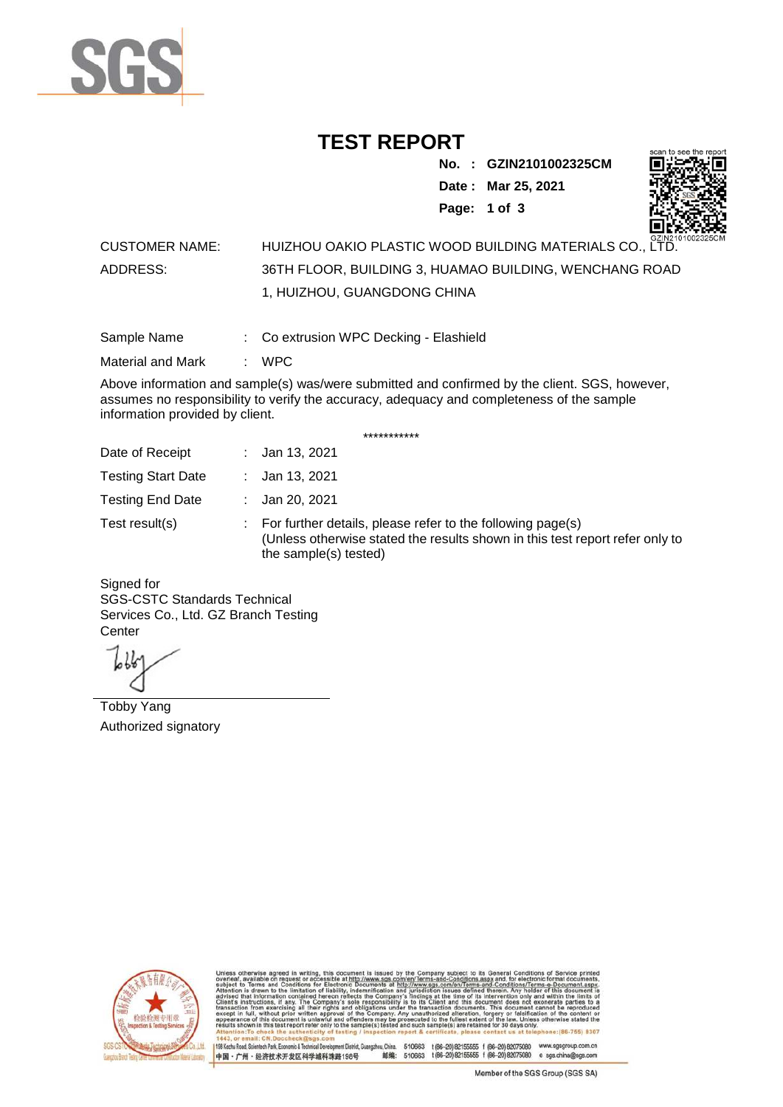

## **TEST REPORT**

**No. : GZIN2101002325CM**

**Date : Mar 25, 2021**



**Page: 1 of 3** 

## CUSTOMER NAME: HUIZHOU OAKIO PLASTIC WOOD BUILDING MATERIALS CO., LTD. ADDRESS: 36TH FLOOR, BUILDING 3, HUAMAO BUILDING, WENCHANG ROAD 1, HUIZHOU, GUANGDONG CHINA

Sample Name : Co extrusion WPC Decking - Elashield

Material and Mark : WPC

Above information and sample(s) was/were submitted and confirmed by the client. SGS, however, assumes no responsibility to verify the accuracy, adequacy and completeness of the sample information provided by client.

\*\*\*\*\*\*\*\*\*\*\*

| Date of Receipt           | : Jan 13, 2021                                                                                                                                                        |
|---------------------------|-----------------------------------------------------------------------------------------------------------------------------------------------------------------------|
| <b>Testing Start Date</b> | : Jan 13, 2021                                                                                                                                                        |
| <b>Testing End Date</b>   | : Jan 20, 2021                                                                                                                                                        |
| Test result(s)            | : For further details, please refer to the following page(s)<br>(Unless otherwise stated the results shown in this test report refer only to<br>the sample(s) tested) |

Signed for SGS-CSTC Standards Technical Services Co., Ltd. GZ Branch Testing **Center** 

Tobby Yang Authorized signatory



510663 t(86-20) 82155555 f (86-20) 82075080 www.sgsgroup.com.cn<br>510663 t(86-20) 82155555 f (86-20) 82075080 e sgs.china@sgs.com 198 Kezhu Road, Scientech Park, Eco nomic & Technical Devel tou, China. ant District C 邮编: 中国·广州·经济技术开发区科学城科珠路198号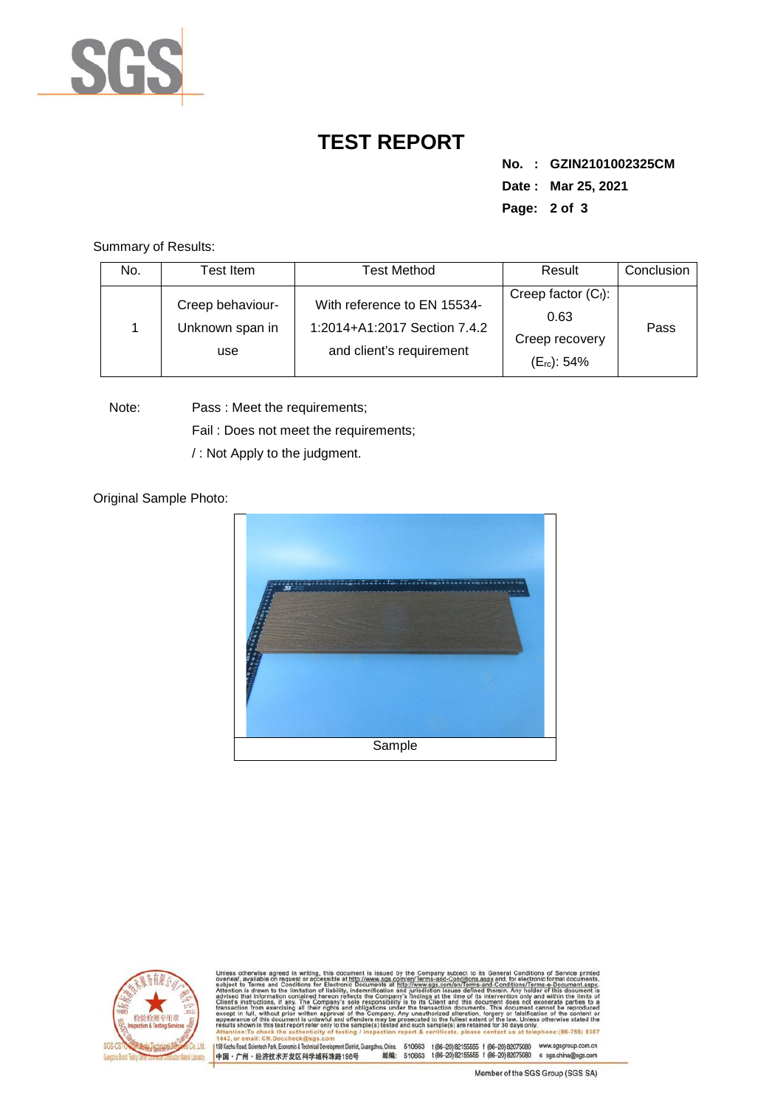

## **TEST REPORT**

**No. : GZIN2101002325CM Date : Mar 25, 2021 Page: 2 of 3** 

Summary of Results:

| No. | Test Item.                                 | Test Method                                                                             | Result                                                                      | Conclusion |
|-----|--------------------------------------------|-----------------------------------------------------------------------------------------|-----------------------------------------------------------------------------|------------|
|     | Creep behaviour-<br>Unknown span in<br>use | With reference to EN 15534-<br>1:2014+A1:2017 Section 7.4.2<br>and client's requirement | Creep factor $(C_i)$ :<br>0.63<br>Creep recovery<br>(E <sub>rc</sub> ): 54% | Pass       |

Note: Pass : Meet the requirements;

Fail : Does not meet the requirements;

/ : Not Apply to the judgment.

Original Sample Photo:





Conditions/Terms-e-Docu<br>rein. Any holder of this o 8307 198 Kezhu Road, Scientech Park, Economic & Technical Develop 中国·广州·经济技术开发区科学城科珠路198号